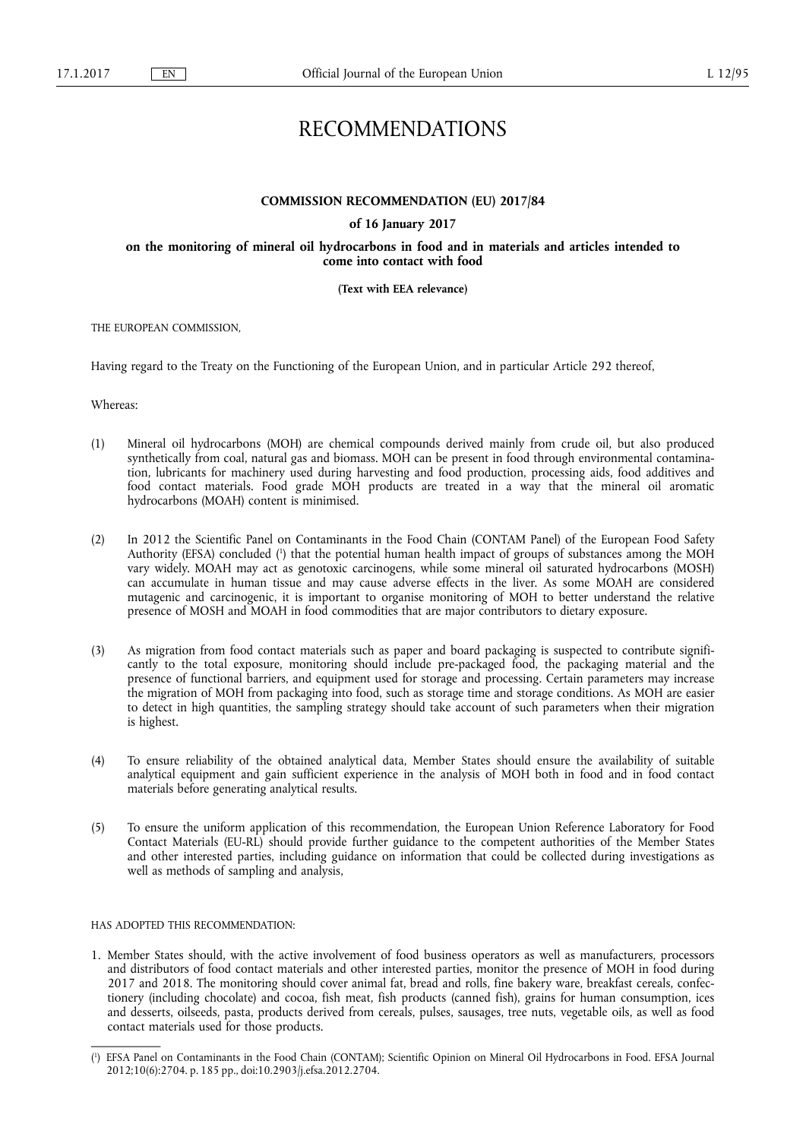# RECOMMENDATIONS

#### **COMMISSION RECOMMENDATION (EU) 2017/84**

#### **of 16 January 2017**

**on the monitoring of mineral oil hydrocarbons in food and in materials and articles intended to come into contact with food** 

### **(Text with EEA relevance)**

THE EUROPEAN COMMISSION,

Having regard to the Treaty on the Functioning of the European Union, and in particular Article 292 thereof,

Whereas:

- (1) Mineral oil hydrocarbons (MOH) are chemical compounds derived mainly from crude oil, but also produced synthetically from coal, natural gas and biomass. MOH can be present in food through environmental contamination, lubricants for machinery used during harvesting and food production, processing aids, food additives and food contact materials. Food grade MOH products are treated in a way that the mineral oil aromatic hydrocarbons (MOAH) content is minimised.
- (2) In 2012 the Scientific Panel on Contaminants in the Food Chain (CONTAM Panel) of the European Food Safety Authority (EFSA) concluded ( 1 ) that the potential human health impact of groups of substances among the MOH vary widely. MOAH may act as genotoxic carcinogens, while some mineral oil saturated hydrocarbons (MOSH) can accumulate in human tissue and may cause adverse effects in the liver. As some MOAH are considered mutagenic and carcinogenic, it is important to organise monitoring of MOH to better understand the relative presence of MOSH and MOAH in food commodities that are major contributors to dietary exposure.
- (3) As migration from food contact materials such as paper and board packaging is suspected to contribute significantly to the total exposure, monitoring should include pre-packaged food, the packaging material and the presence of functional barriers, and equipment used for storage and processing. Certain parameters may increase the migration of MOH from packaging into food, such as storage time and storage conditions. As MOH are easier to detect in high quantities, the sampling strategy should take account of such parameters when their migration is highest.
- (4) To ensure reliability of the obtained analytical data, Member States should ensure the availability of suitable analytical equipment and gain sufficient experience in the analysis of MOH both in food and in food contact materials before generating analytical results.
- (5) To ensure the uniform application of this recommendation, the European Union Reference Laboratory for Food Contact Materials (EU-RL) should provide further guidance to the competent authorities of the Member States and other interested parties, including guidance on information that could be collected during investigations as well as methods of sampling and analysis,

## HAS ADOPTED THIS RECOMMENDATION:

1. Member States should, with the active involvement of food business operators as well as manufacturers, processors and distributors of food contact materials and other interested parties, monitor the presence of MOH in food during 2017 and 2018. The monitoring should cover animal fat, bread and rolls, fine bakery ware, breakfast cereals, confectionery (including chocolate) and cocoa, fish meat, fish products (canned fish), grains for human consumption, ices and desserts, oilseeds, pasta, products derived from cereals, pulses, sausages, tree nuts, vegetable oils, as well as food contact materials used for those products.

<sup>(</sup> 1 ) EFSA Panel on Contaminants in the Food Chain (CONTAM); Scientific Opinion on Mineral Oil Hydrocarbons in Food. EFSA Journal 2012;10(6):2704. p. 185 pp., doi:10.2903/j.efsa.2012.2704.